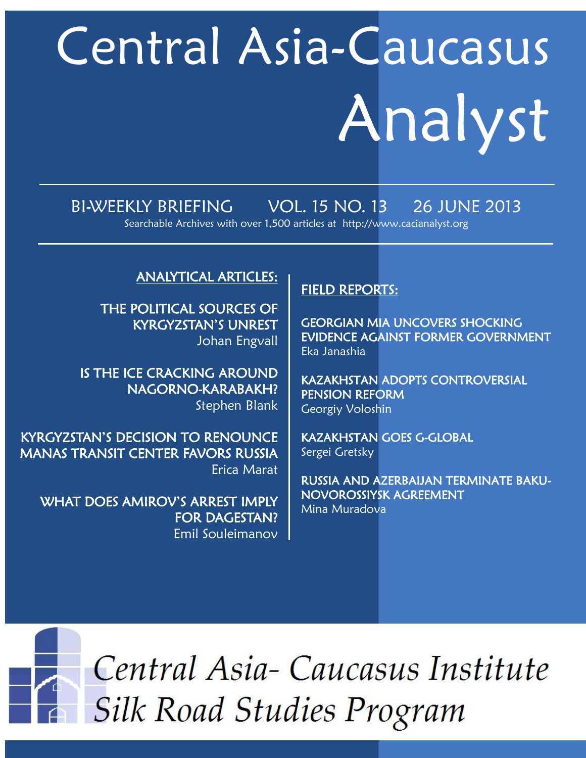# Central Asia-Caucasus Analyst

## BI-WEEKLY BRIEFING VOL. 15 NO. 13 26 JUNE 2013

Searchable Archives with over 1,500 articles at http://www.cacianalyst.org

#### ANALYTICAL ARTICLES:

THE POLITICAL SOURCES OF KYRGYZSTAN'S UNREST Johan Engvall

IS THE ICE CRACKING AROUND NAGORNO-KARABAKH? Stephen Blank

KYRGYZSTAN'S DECISION TO RENOUNCE MANAS TRANSIT CENTER FAVORS RUSSIA Erica Marat

WHAT DOES AMIROV'S ARREST IMPLY FOR DAGESTAN? Emil Souleimanov

#### FIELD REPORTS:

GEORGIAN MIA UNCOVERS SHOCKING EVIDENCE AGAINST FORMER GOVERNMENT Eka Janashia

KAZAKHSTAN ADOPTS CONTROVERSIAL PENSION REFORM Georgiy Voloshin

KAZAKHSTAN GOES G-GLOBAL Sergei Gretsky

RUSSIA AND AZERBAIJAN TERMINATE BAKU-NOVOROSSIYSK AGREEMENT Mina Muradova



Central Asia-Caucasus Institute **Silk Road Studies Program**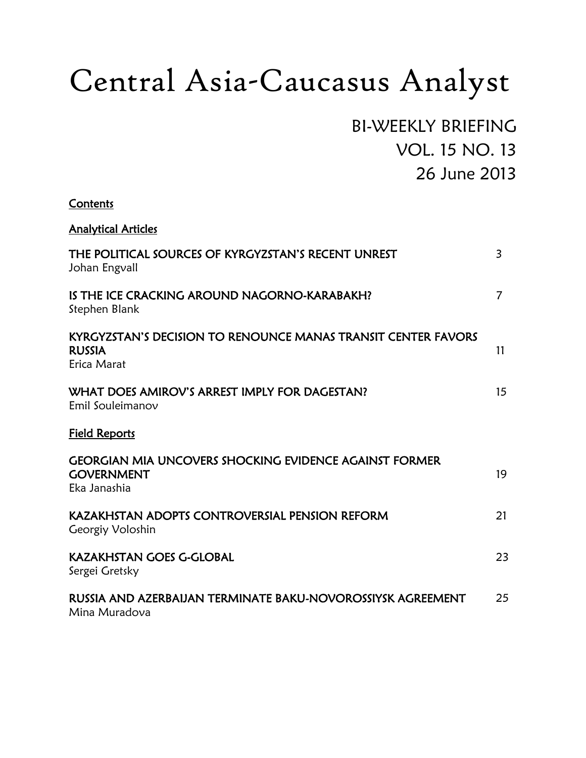## Central Asia-Caucasus Analyst

BI-WEEKLY BRIEFING VOL. 15 NO. 13 26 June 2013

| Contents                                                                                           |                |
|----------------------------------------------------------------------------------------------------|----------------|
| <b>Analytical Articles</b>                                                                         |                |
| THE POLITICAL SOURCES OF KYRGYZSTAN'S RECENT UNREST<br>Johan Engvall                               | 3              |
| IS THE ICE CRACKING AROUND NAGORNO-KARABAKH?<br>Stephen Blank                                      | $\overline{7}$ |
| KYRGYZSTAN'S DECISION TO RENOUNCE MANAS TRANSIT CENTER FAVORS<br><b>RUSSIA</b><br>Erica Marat      | 11             |
| WHAT DOES AMIROV'S ARREST IMPLY FOR DAGESTAN?<br>Emil Souleimanov                                  | 15             |
| <b>Field Reports</b>                                                                               |                |
| <b>GEORGIAN MIA UNCOVERS SHOCKING EVIDENCE AGAINST FORMER</b><br><b>GOVERNMENT</b><br>Eka Janashia | 19             |
| KAZAKHSTAN ADOPTS CONTROVERSIAL PENSION REFORM<br>Georgiy Voloshin                                 | 21             |
| <b>KAZAKHSTAN GOES G-GLOBAL</b><br>Sergei Gretsky                                                  | 23             |
| RUSSIA AND AZERBAIJAN TERMINATE BAKU-NOVOROSSIYSK AGREEMENT<br>Mina Muradova                       | 25             |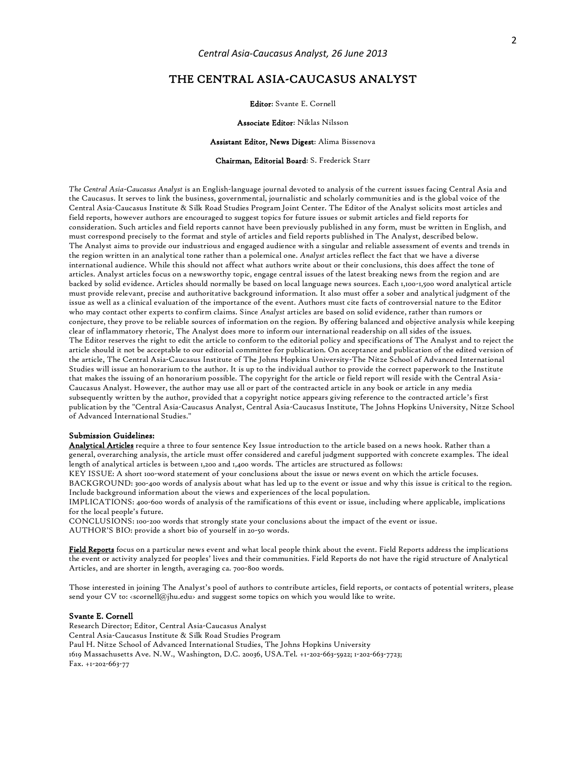#### THE CENTRAL ASIA-CAUCASUS ANALYST

Editor: Svante E. Cornell

Associate Editor: Niklas Nilsson

#### Assistant Editor, News Digest: Alima Bissenova

Chairman, Editorial Board: S. Frederick Starr

*The Central Asia-Caucasus Analyst* is an English-language journal devoted to analysis of the current issues facing Central Asia and the Caucasus. It serves to link the business, governmental, journalistic and scholarly communities and is the global voice of the Central Asia-Caucasus Institute & Silk Road Studies Program Joint Center. The Editor of the Analyst solicits most articles and field reports, however authors are encouraged to suggest topics for future issues or submit articles and field reports for consideration. Such articles and field reports cannot have been previously published in any form, must be written in English, and must correspond precisely to the format and style of articles and field reports published in The Analyst, described below. The Analyst aims to provide our industrious and engaged audience with a singular and reliable assessment of events and trends in the region written in an analytical tone rather than a polemical one. *Analyst* articles reflect the fact that we have a diverse international audience. While this should not affect what authors write about or their conclusions, this does affect the tone of articles. Analyst articles focus on a newsworthy topic, engage central issues of the latest breaking news from the region and are backed by solid evidence. Articles should normally be based on local language news sources. Each 1,100-1,500 word analytical article must provide relevant, precise and authoritative background information. It also must offer a sober and analytical judgment of the issue as well as a clinical evaluation of the importance of the event. Authors must cite facts of controversial nature to the Editor who may contact other experts to confirm claims. Since *Analyst* articles are based on solid evidence, rather than rumors or conjecture, they prove to be reliable sources of information on the region. By offering balanced and objective analysis while keeping clear of inflammatory rhetoric, The Analyst does more to inform our international readership on all sides of the issues. The Editor reserves the right to edit the article to conform to the editorial policy and specifications of The Analyst and to reject the article should it not be acceptable to our editorial committee for publication. On acceptance and publication of the edited version of the article, The Central Asia-Caucasus Institute of The Johns Hopkins University-The Nitze School of Advanced International Studies will issue an honorarium to the author. It is up to the individual author to provide the correct paperwork to the Institute that makes the issuing of an honorarium possible. The copyright for the article or field report will reside with the Central Asia-Caucasus Analyst. However, the author may use all or part of the contracted article in any book or article in any media subsequently written by the author, provided that a copyright notice appears giving reference to the contracted article's first publication by the "Central Asia-Caucasus Analyst, Central Asia-Caucasus Institute, The Johns Hopkins University, Nitze School of Advanced International Studies."

#### Submission Guidelines:

Analytical Articles require a three to four sentence Key Issue introduction to the article based on a news hook. Rather than a general, overarching analysis, the article must offer considered and careful judgment supported with concrete examples. The ideal length of analytical articles is between 1,200 and 1,400 words. The articles are structured as follows:

KEY ISSUE: A short 100-word statement of your conclusions about the issue or news event on which the article focuses. BACKGROUND: 300-400 words of analysis about what has led up to the event or issue and why this issue is critical to the region. Include background information about the views and experiences of the local population.

IMPLICATIONS: 400-600 words of analysis of the ramifications of this event or issue, including where applicable, implications for the local people's future.

CONCLUSIONS: 100-200 words that strongly state your conclusions about the impact of the event or issue. AUTHOR'S BIO: provide a short bio of yourself in 20-50 words.

Field Reports focus on a particular news event and what local people think about the event. Field Reports address the implications the event or activity analyzed for peoples' lives and their communities. Field Reports do not have the rigid structure of Analytical Articles, and are shorter in length, averaging ca. 700-800 words.

Those interested in joining The Analyst's pool of authors to contribute articles, field reports, or contacts of potential writers, please send your CV to: <scornell@jhu.edu> and suggest some topics on which you would like to write.

#### Svante E. Cornell

Research Director; Editor, Central Asia-Caucasus Analyst Central Asia-Caucasus Institute & Silk Road Studies Program Paul H. Nitze School of Advanced International Studies, The Johns Hopkins University 1619 Massachusetts Ave. N.W., Washington, D.C. 20036, USA.Tel. +1-202-663-5922; 1-202-663-7723; Fax. +1-202-663-77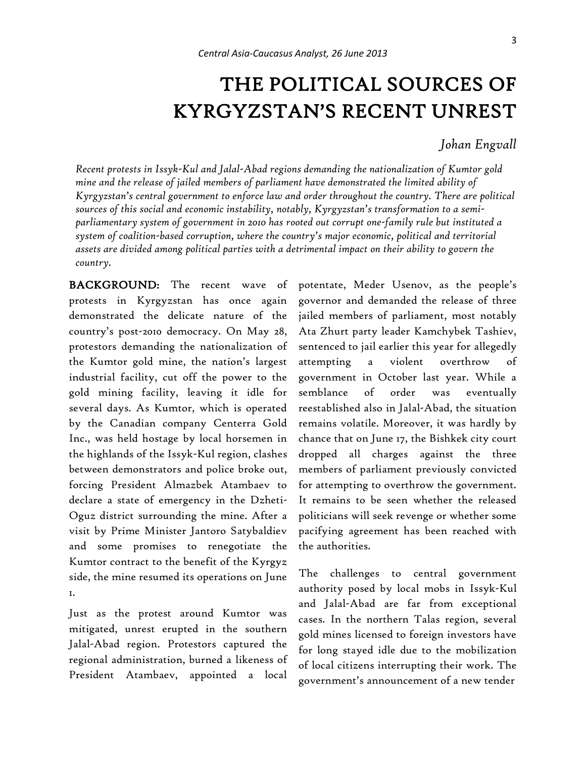## THE POLITICAL SOURCES OF KYRGYZSTAN'S RECENT UNREST

*Johan Engvall*

*Recent protests in Issyk-Kul and Jalal-Abad regions demanding the nationalization of Kumtor gold mine and the release of jailed members of parliament have demonstrated the limited ability of Kyrgyzstan's central government to enforce law and order throughout the country. There are political sources of this social and economic instability, notably, Kyrgyzstan's transformation to a semiparliamentary system of government in 2010 has rooted out corrupt one-family rule but instituted a system of coalition-based corruption, where the country's major economic, political and territorial assets are divided among political parties with a detrimental impact on their ability to govern the country.* 

BACKGROUND: The recent wave of protests in Kyrgyzstan has once again demonstrated the delicate nature of the country's post-2010 democracy. On May 28, protestors demanding the nationalization of the Kumtor gold mine, the nation's largest industrial facility, cut off the power to the gold mining facility, leaving it idle for several days. As Kumtor, which is operated by the Canadian company Centerra Gold Inc., was held hostage by local horsemen in the highlands of the Issyk-Kul region, clashes between demonstrators and police broke out, forcing President Almazbek Atambaev to declare a state of emergency in the Dzheti-Oguz district surrounding the mine. After a visit by Prime Minister Jantoro Satybaldiev and some promises to renegotiate the Kumtor contract to the benefit of the Kyrgyz side, the mine resumed its operations on June 1.

Just as the protest around Kumtor was mitigated, unrest erupted in the southern Jalal-Abad region. Protestors captured the regional administration, burned a likeness of President Atambaev, appointed a local

potentate, Meder Usenov, as the people's governor and demanded the release of three jailed members of parliament, most notably Ata Zhurt party leader Kamchybek Tashiev, sentenced to jail earlier this year for allegedly attempting a violent overthrow of government in October last year. While a semblance of order was eventually reestablished also in Jalal-Abad, the situation remains volatile. Moreover, it was hardly by chance that on June 17, the Bishkek city court dropped all charges against the three members of parliament previously convicted for attempting to overthrow the government. It remains to be seen whether the released politicians will seek revenge or whether some pacifying agreement has been reached with the authorities.

The challenges to central government authority posed by local mobs in Issyk-Kul and Jalal-Abad are far from exceptional cases. In the northern Talas region, several gold mines licensed to foreign investors have for long stayed idle due to the mobilization of local citizens interrupting their work. The government's announcement of a new tender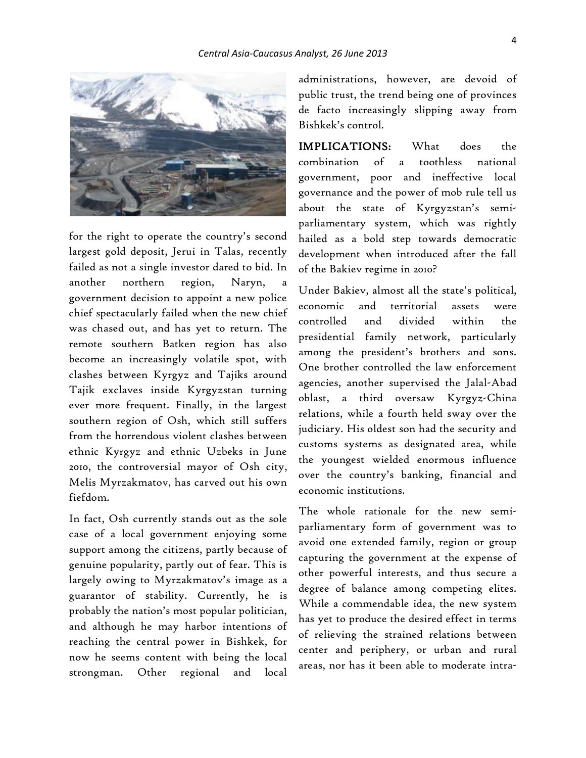

for the right to operate the country's second largest gold deposit, Jerui in Talas, recently failed as not a single investor dared to bid. In another northern region, Naryn, government decision to appoint a new police chief spectacularly failed when the new chief was chased out, and has yet to return. The remote southern Batken region has also become an increasingly volatile spot, with clashes between Kyrgyz and Tajiks around Tajik exclaves inside Kyrgyzstan turning ever more frequent. Finally, in the largest southern region of Osh, which still suffers from the horrendous violent clashes between ethnic Kyrgyz and ethnic Uzbeks in June 2010, the controversial mayor of Osh city, Melis Myrzakmatov, has carved out his own fiefdom.

In fact, Osh currently stands out as the sole case of a local government enjoying some support among the citizens, partly because of genuine popularity, partly out of fear. This is largely owing to Myrzakmatov's image as a guarantor of stability. Currently, he is probably the nation's most popular politician, and although he may harbor intentions of reaching the central power in Bishkek, for now he seems content with being the local strongman. Other regional and local

administrations, however, are devoid of public trust, the trend being one of provinces de facto increasingly slipping away from Bishkek's control.

IMPLICATIONS: What does the combination of a toothless national government, poor and ineffective local governance and the power of mob rule tell us about the state of Kyrgyzstan's semiparliamentary system, which was rightly hailed as a bold step towards democratic development when introduced after the fall of the Bakiev regime in 2010?

Under Bakiev, almost all the state's political, economic and territorial assets were controlled and divided within the presidential family network, particularly among the president's brothers and sons. One brother controlled the law enforcement agencies, another supervised the Jalal-Abad oblast, a third oversaw Kyrgyz-China relations, while a fourth held sway over the judiciary. His oldest son had the security and customs systems as designated area, while the youngest wielded enormous influence over the country's banking, financial and economic institutions.

The whole rationale for the new semiparliamentary form of government was to avoid one extended family, region or group capturing the government at the expense of other powerful interests, and thus secure a degree of balance among competing elites. While a commendable idea, the new system has yet to produce the desired effect in terms of relieving the strained relations between center and periphery, or urban and rural areas, nor has it been able to moderate intra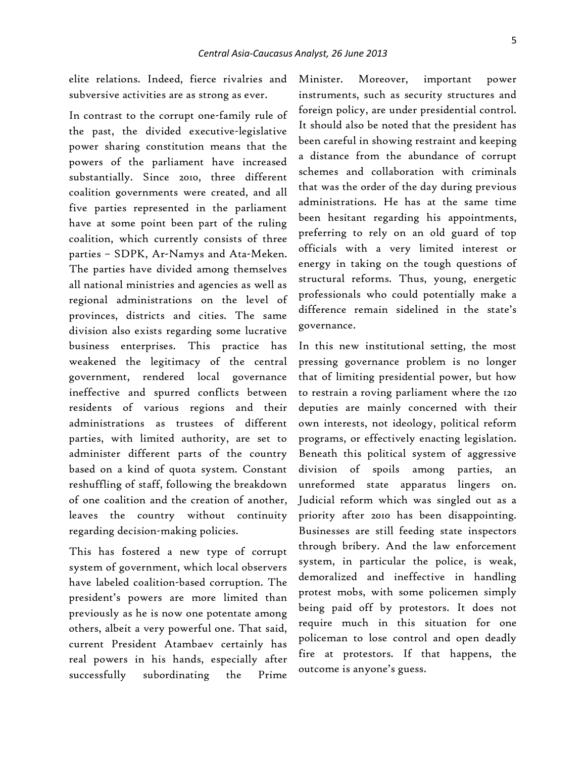elite relations. Indeed, fierce rivalries and subversive activities are as strong as ever.

In contrast to the corrupt one-family rule of the past, the divided executive-legislative power sharing constitution means that the powers of the parliament have increased substantially. Since 2010, three different coalition governments were created, and all five parties represented in the parliament have at some point been part of the ruling coalition, which currently consists of three parties – SDPK, Ar-Namys and Ata-Meken. The parties have divided among themselves all national ministries and agencies as well as regional administrations on the level of provinces, districts and cities. The same division also exists regarding some lucrative business enterprises. This practice has weakened the legitimacy of the central government, rendered local governance ineffective and spurred conflicts between residents of various regions and their administrations as trustees of different parties, with limited authority, are set to administer different parts of the country based on a kind of quota system. Constant reshuffling of staff, following the breakdown of one coalition and the creation of another, leaves the country without continuity regarding decision-making policies.

This has fostered a new type of corrupt system of government, which local observers have labeled coalition-based corruption. The president's powers are more limited than previously as he is now one potentate among others, albeit a very powerful one. That said, current President Atambaev certainly has real powers in his hands, especially after successfully subordinating the Prime Minister. Moreover, important power instruments, such as security structures and foreign policy, are under presidential control. It should also be noted that the president has been careful in showing restraint and keeping a distance from the abundance of corrupt schemes and collaboration with criminals that was the order of the day during previous administrations. He has at the same time been hesitant regarding his appointments, preferring to rely on an old guard of top officials with a very limited interest or energy in taking on the tough questions of structural reforms. Thus, young, energetic professionals who could potentially make a difference remain sidelined in the state's governance.

In this new institutional setting, the most pressing governance problem is no longer that of limiting presidential power, but how to restrain a roving parliament where the 120 deputies are mainly concerned with their own interests, not ideology, political reform programs, or effectively enacting legislation. Beneath this political system of aggressive division of spoils among parties, an unreformed state apparatus lingers on. Judicial reform which was singled out as a priority after 2010 has been disappointing. Businesses are still feeding state inspectors through bribery. And the law enforcement system, in particular the police, is weak, demoralized and ineffective in handling protest mobs, with some policemen simply being paid off by protestors. It does not require much in this situation for one policeman to lose control and open deadly fire at protestors. If that happens, the outcome is anyone's guess.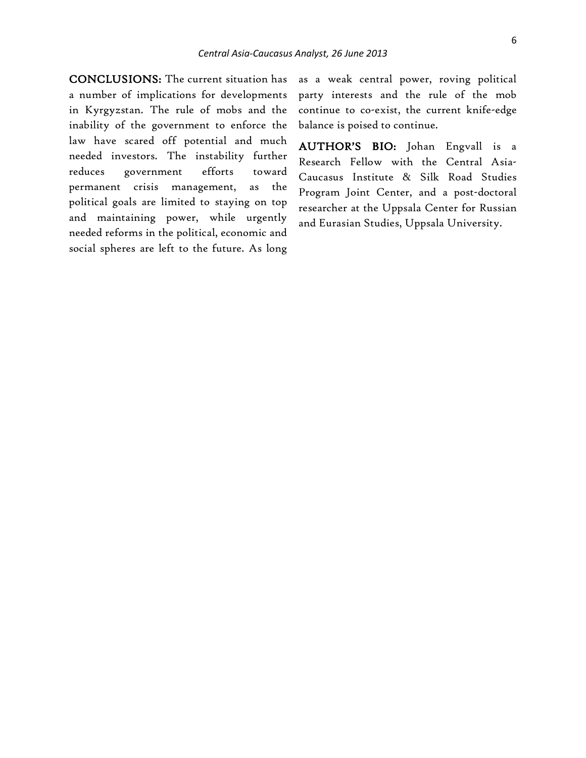CONCLUSIONS: The current situation has a number of implications for developments in Kyrgyzstan. The rule of mobs and the inability of the government to enforce the law have scared off potential and much needed investors. The instability further reduces government efforts toward permanent crisis management, as the political goals are limited to staying on top and maintaining power, while urgently needed reforms in the political, economic and social spheres are left to the future. As long

as a weak central power, roving political party interests and the rule of the mob continue to co-exist, the current knife-edge balance is poised to continue.

AUTHOR'S BIO: Johan Engvall is a Research Fellow with the Central Asia-Caucasus Institute & Silk Road Studies Program Joint Center, and a post-doctoral researcher at the Uppsala Center for Russian and Eurasian Studies, Uppsala University.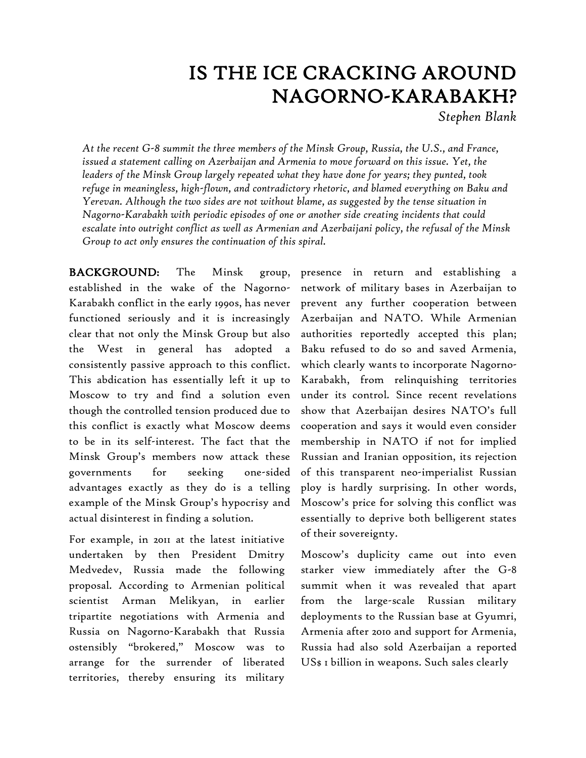## IS THE ICE CRACKING AROUND NAGORNO-KARABAKH?

*Stephen Blank*

*At the recent G-8 summit the three members of the Minsk Group, Russia, the U.S., and France, issued a statement calling on Azerbaijan and Armenia to move forward on this issue. Yet, the leaders of the Minsk Group largely repeated what they have done for years; they punted, took refuge in meaningless, high-flown, and contradictory rhetoric, and blamed everything on Baku and Yerevan. Although the two sides are not without blame, as suggested by the tense situation in Nagorno-Karabakh with periodic episodes of one or another side creating incidents that could escalate into outright conflict as well as Armenian and Azerbaijani policy, the refusal of the Minsk Group to act only ensures the continuation of this spiral.*

BACKGROUND: The Minsk group, established in the wake of the Nagorno-Karabakh conflict in the early 1990s, has never functioned seriously and it is increasingly clear that not only the Minsk Group but also the West in general has adopted a consistently passive approach to this conflict. This abdication has essentially left it up to Moscow to try and find a solution even though the controlled tension produced due to this conflict is exactly what Moscow deems to be in its self-interest. The fact that the Minsk Group's members now attack these governments for seeking one-sided advantages exactly as they do is a telling example of the Minsk Group's hypocrisy and actual disinterest in finding a solution.

For example, in 2011 at the latest initiative undertaken by then President Dmitry Medvedev, Russia made the following proposal. According to Armenian political scientist Arman Melikyan, in earlier tripartite negotiations with Armenia and Russia on Nagorno-Karabakh that Russia ostensibly "brokered," Moscow was to arrange for the surrender of liberated territories, thereby ensuring its military

presence in return and establishing a network of military bases in Azerbaijan to prevent any further cooperation between Azerbaijan and NATO. While Armenian authorities reportedly accepted this plan; Baku refused to do so and saved Armenia, which clearly wants to incorporate Nagorno-Karabakh, from relinquishing territories under its control. Since recent revelations show that Azerbaijan desires NATO's full cooperation and says it would even consider membership in NATO if not for implied Russian and Iranian opposition, its rejection of this transparent neo-imperialist Russian ploy is hardly surprising. In other words, Moscow's price for solving this conflict was essentially to deprive both belligerent states of their sovereignty.

Moscow's duplicity came out into even starker view immediately after the G-8 summit when it was revealed that apart from the large-scale Russian military deployments to the Russian base at Gyumri, Armenia after 2010 and support for Armenia, Russia had also sold Azerbaijan a reported US\$ 1 billion in weapons. Such sales clearly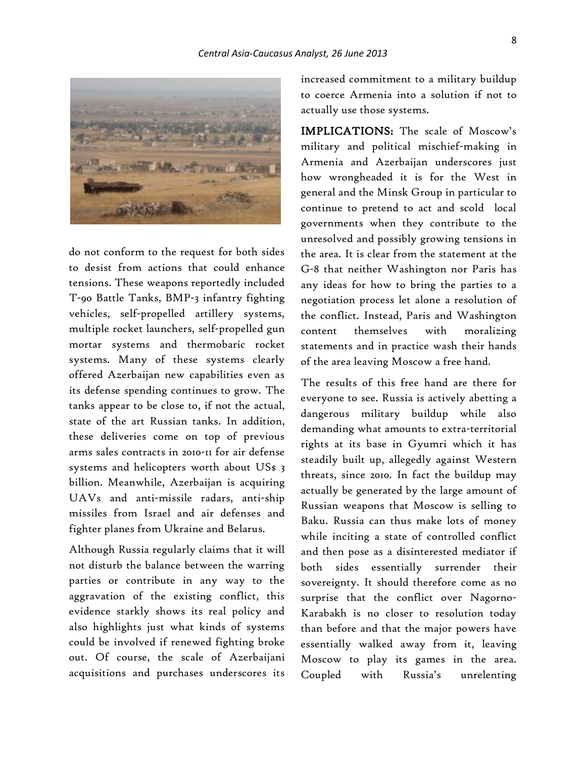

do not conform to the request for both sides to desist from actions that could enhance tensions. These weapons reportedly included T-90 Battle Tanks, BMP-3 infantry fighting vehicles, self-propelled artillery systems, multiple rocket launchers, self-propelled gun mortar systems and thermobaric rocket systems. Many of these systems clearly offered Azerbaijan new capabilities even as its defense spending continues to grow. The tanks appear to be close to, if not the actual, state of the art Russian tanks. In addition, these deliveries come on top of previous arms sales contracts in 2010-11 for air defense systems and helicopters worth about US\$ 3 billion. Meanwhile, Azerbaijan is acquiring UAVs and anti-missile radars, anti-ship missiles from Israel and air defenses and fighter planes from Ukraine and Belarus.

Although Russia regularly claims that it will not disturb the balance between the warring parties or contribute in any way to the aggravation of the existing conflict, this evidence starkly shows its real policy and also highlights just what kinds of systems could be involved if renewed fighting broke out. Of course, the scale of Azerbaijani acquisitions and purchases underscores its

increased commitment to a military buildup to coerce Armenia into a solution if not to actually use those systems.

IMPLICATIONS: The scale of Moscow's military and political mischief-making in Armenia and Azerbaijan underscores just how wrongheaded it is for the West in general and the Minsk Group in particular to continue to pretend to act and scold local governments when they contribute to the unresolved and possibly growing tensions in the area. It is clear from the statement at the G-8 that neither Washington nor Paris has any ideas for how to bring the parties to a negotiation process let alone a resolution of the conflict. Instead, Paris and Washington content themselves with moralizing statements and in practice wash their hands of the area leaving Moscow a free hand.

The results of this free hand are there for everyone to see. Russia is actively abetting a dangerous military buildup while also demanding what amounts to extra-territorial rights at its base in Gyumri which it has steadily built up, allegedly against Western threats, since 2010. In fact the buildup may actually be generated by the large amount of Russian weapons that Moscow is selling to Baku. Russia can thus make lots of money while inciting a state of controlled conflict and then pose as a disinterested mediator if both sides essentially surrender their sovereignty. It should therefore come as no surprise that the conflict over Nagorno-Karabakh is no closer to resolution today than before and that the major powers have essentially walked away from it, leaving Moscow to play its games in the area. Coupled with Russia's unrelenting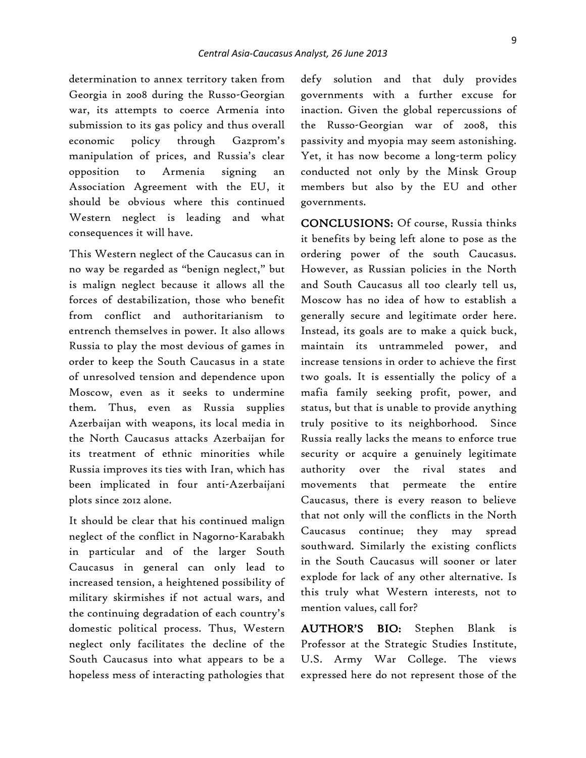determination to annex territory taken from Georgia in 2008 during the Russo-Georgian war, its attempts to coerce Armenia into submission to its gas policy and thus overall economic policy through Gazprom's manipulation of prices, and Russia's clear opposition to Armenia signing an Association Agreement with the EU, it should be obvious where this continued Western neglect is leading and what consequences it will have.

This Western neglect of the Caucasus can in no way be regarded as "benign neglect," but is malign neglect because it allows all the forces of destabilization, those who benefit from conflict and authoritarianism to entrench themselves in power. It also allows Russia to play the most devious of games in order to keep the South Caucasus in a state of unresolved tension and dependence upon Moscow, even as it seeks to undermine them. Thus, even as Russia supplies Azerbaijan with weapons, its local media in the North Caucasus attacks Azerbaijan for its treatment of ethnic minorities while Russia improves its ties with Iran, which has been implicated in four anti-Azerbaijani plots since 2012 alone.

It should be clear that his continued malign neglect of the conflict in Nagorno-Karabakh in particular and of the larger South Caucasus in general can only lead to increased tension, a heightened possibility of military skirmishes if not actual wars, and the continuing degradation of each country's domestic political process. Thus, Western neglect only facilitates the decline of the South Caucasus into what appears to be a hopeless mess of interacting pathologies that

defy solution and that duly provides governments with a further excuse for inaction. Given the global repercussions of the Russo-Georgian war of 2008, this passivity and myopia may seem astonishing. Yet, it has now become a long-term policy conducted not only by the Minsk Group members but also by the EU and other governments.

CONCLUSIONS: Of course, Russia thinks it benefits by being left alone to pose as the ordering power of the south Caucasus. However, as Russian policies in the North and South Caucasus all too clearly tell us, Moscow has no idea of how to establish a generally secure and legitimate order here. Instead, its goals are to make a quick buck, maintain its untrammeled power, and increase tensions in order to achieve the first two goals. It is essentially the policy of a mafia family seeking profit, power, and status, but that is unable to provide anything truly positive to its neighborhood. Since Russia really lacks the means to enforce true security or acquire a genuinely legitimate authority over the rival states and movements that permeate the entire Caucasus, there is every reason to believe that not only will the conflicts in the North Caucasus continue; they may spread southward. Similarly the existing conflicts in the South Caucasus will sooner or later explode for lack of any other alternative. Is this truly what Western interests, not to mention values, call for?

AUTHOR'S BIO: Stephen Blank is Professor at the Strategic Studies Institute, U.S. Army War College. The views expressed here do not represent those of the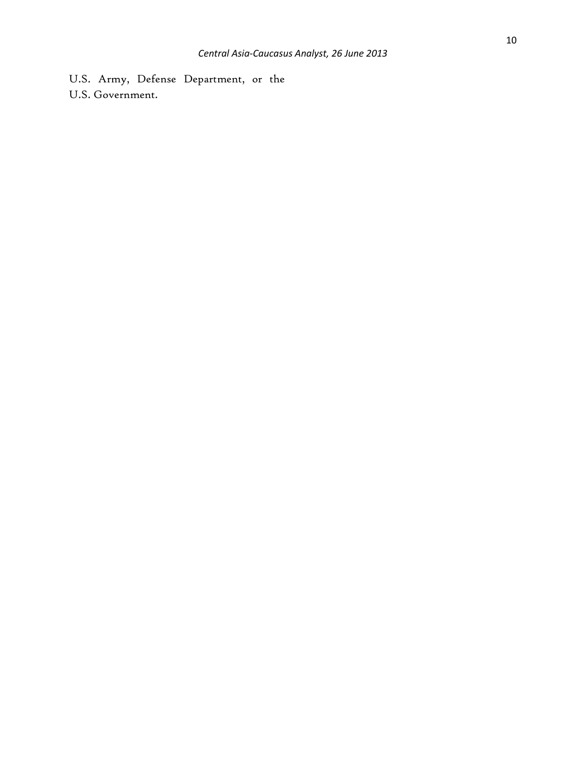U.S. Army, Defense Department, or the U.S. Government.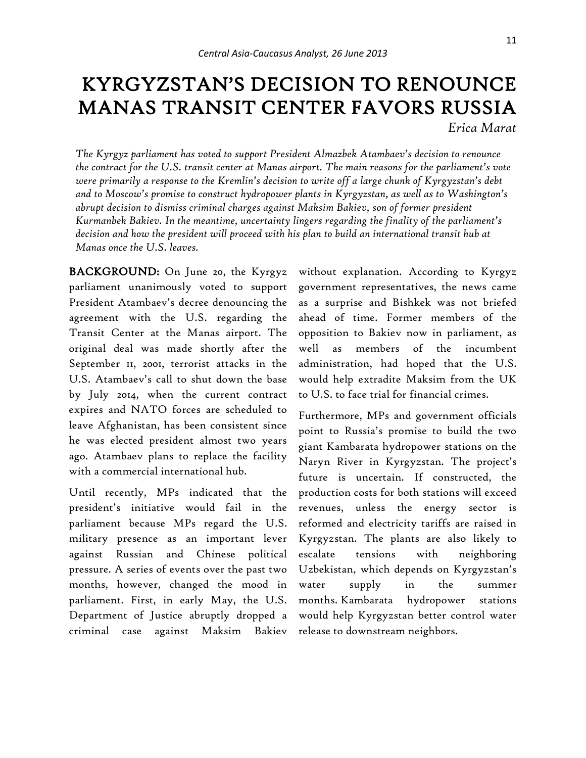#### KYRGYZSTAN'S DECISION TO RENOUNCE MANAS TRANSIT CENTER FAVORS RUSSIA *Erica Marat*

*The Kyrgyz parliament has voted to support President Almazbek Atambaev's decision to renounce the contract for the U.S. transit center at Manas airport. The main reasons for the parliament's vote were primarily a response to the Kremlin's decision to write off a large chunk of Kyrgyzstan's debt and to Moscow's promise to construct hydropower plants in Kyrgyzstan, as well as to Washington's abrupt decision to dismiss criminal charges against Maksim Bakiev, son of former president* Kurmanbek Bakiev. In the meantime, uncertainty lingers regarding the finality of the parliament's *decision and how the president will proceed with his plan to build an international transit hub at Manas once the U.S. leaves.*

BACKGROUND: On June 20, the Kyrgyz parliament unanimously voted to support President Atambaev's decree denouncing the agreement with the U.S. regarding the Transit Center at the Manas airport. The original deal was made shortly after the September 11, 2001, terrorist attacks in the U.S. Atambaev's call to shut down the base by July 2014, when the current contract expires and NATO forces are scheduled to leave Afghanistan, has been consistent since he was elected president almost two years ago. Atambaev plans to replace the facility with a commercial international hub.

Until recently, MPs indicated that the president's initiative would fail in the parliament because MPs regard the U.S. military presence as an important lever against Russian and Chinese political pressure. A series of events over the past two months, however, changed the mood in parliament. First, in early May, the U.S. Department of Justice abruptly dropped a criminal case against Maksim Bakiev release-to-downstream-neighbors.

without explanation. According to Kyrgyz government representatives, the news came as a surprise and Bishkek was not briefed ahead of time. Former members of the opposition to Bakiev now in parliament, as well as members of the incumbent administration, had hoped that the U.S. would help extradite Maksim from the UK to U.S. to face trial for financial crimes.

Furthermore, MPs and government officials point to Russia's promise to build the two giant Kambarata hydropower stations on the Naryn River in Kyrgyzstan. The project's future is uncertain. If constructed, the production costs for both stations will exceed revenues, unless the energy sector is reformed and electricity tariffs are raised in Kyrgyzstan. The plants are also likely to escalate tensions with neighboring Uzbekistan, which depends on Kyrgyzstan's water supply in the summer months. Kambarata hydropower stations would help Kyrgyzstan better control water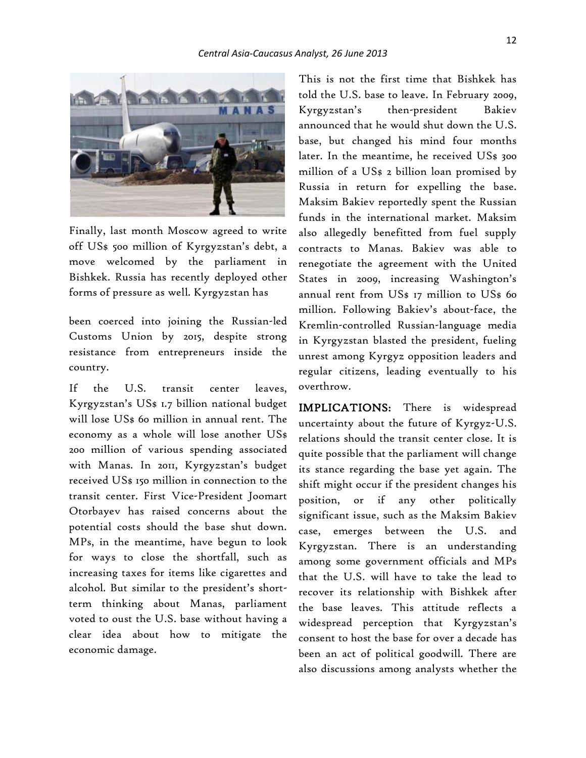

Finally, last month Moscow agreed to write off US\$ 500 million of Kyrgyzstan's debt, a move welcomed by the parliament in Bishkek. Russia has recently deployed other forms of pressure as well. Kyrgyzstan has

been coerced into joining the Russian-led Customs Union by 2015, despite strong resistance from entrepreneurs inside the country.

If the U.S. transit center leaves, Kyrgyzstan's US\$ 1.7 billion national budget will lose US\$ 60 million in annual rent. The economy as a whole will lose another US\$ 200 million of various spending associated with Manas. In 2011, Kyrgyzstan's budget received US\$ 150 million in connection to the transit center. First Vice-President Joomart Otorbayev has raised concerns about the potential costs should the base shut down. MPs, in the meantime, have begun to look for ways to close the shortfall, such as increasing taxes for items like cigarettes and alcohol. But similar to the president's shortterm thinking about Manas, parliament voted to oust the U.S. base without having a clear idea about how to mitigate the economic damage.

This is not the first time that Bishkek has told the U.S. base to leave. In February 2009, Kyrgyzstan's then-president Bakiev announced that he would shut down the U.S. base, but changed his mind four months later. In the meantime, he received US\$ 300 million of a US\$ 2 billion loan promised by Russia in return for expelling the base. Maksim Bakiev reportedly spent the Russian funds in the international market. Maksim also allegedly benefitted from fuel supply contracts to Manas. Bakiev was able to renegotiate the agreement with the United States in 2009, increasing Washington's annual rent from US\$ 17 million to US\$ 60 million. Following Bakiev's about-face, the Kremlin-controlled Russian-language media in Kyrgyzstan blasted the president, fueling unrest among Kyrgyz opposition leaders and regular citizens, leading eventually to his overthrow.

IMPLICATIONS: There is widespread uncertainty about the future of Kyrgyz-U.S. relations should the transit center close. It is quite possible that the parliament will change its stance regarding the base yet again. The shift might occur if the president changes his position, or if any other politically significant issue, such as the Maksim Bakiev case, emerges between the U.S. and Kyrgyzstan. There is an understanding among some government officials and MPs that the U.S. will have to take the lead to recover its relationship with Bishkek after the base leaves. This attitude reflects a widespread perception that Kyrgyzstan's consent to host the base for over a decade has been an act of political goodwill. There are also discussions among analysts whether the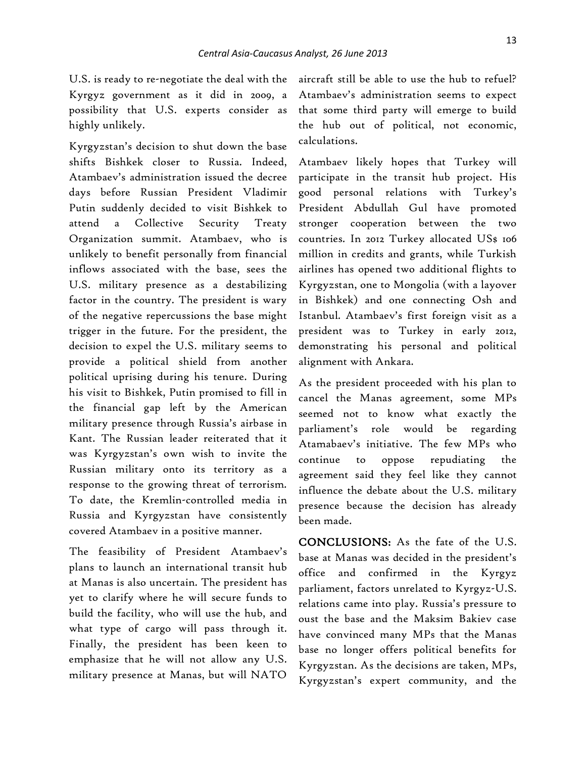U.S. is ready to re-negotiate the deal with the Kyrgyz government as it did in 2009, a possibility that U.S. experts consider as highly unlikely.

Kyrgyzstan's decision to shut down the base shifts Bishkek closer to Russia. Indeed, Atambaev's administration issued the decree days before Russian President Vladimir Putin suddenly decided to visit Bishkek to attend a Collective Security Treaty Organization summit. Atambaev, who is unlikely to benefit personally from financial inflows associated with the base, sees the U.S. military presence as a destabilizing factor in the country. The president is wary of the negative repercussions the base might trigger in the future. For the president, the decision to expel the U.S. military seems to provide a political shield from another political uprising during his tenure. During his visit to Bishkek, Putin promised to fill in the financial gap left by the American military presence through Russia's airbase in Kant. The Russian leader reiterated that it was Kyrgyzstan's own wish to invite the Russian military onto its territory as a response to the growing threat of terrorism. To date, the Kremlin-controlled media in Russia and Kyrgyzstan have consistently covered Atambaev in a positive manner.

The feasibility of President Atambaev's plans to launch an international transit hub at Manas is also uncertain. The president has yet to clarify where he will secure funds to build the facility, who will use the hub, and what type of cargo will pass through it. Finally, the president has been keen to emphasize that he will not allow any U.S. military presence at Manas, but will NATO aircraft still be able to use the hub to refuel? Atambaev's administration seems to expect that some third party will emerge to build the hub out of political, not economic, calculations.

Atambaev likely hopes that Turkey will participate in the transit hub project. His good personal relations with Turkey's President Abdullah Gul have promoted stronger cooperation between the two countries. In 2012 Turkey allocated US\$ 106 million in credits and grants, while Turkish airlines has opened two additional flights to Kyrgyzstan, one to Mongolia (with a layover in Bishkek) and one connecting Osh and Istanbul. Atambaev's first foreign visit as a president was to Turkey in early 2012, demonstrating his personal and political alignment with Ankara.

As the president proceeded with his plan to cancel the Manas agreement, some MPs seemed not to know what exactly the parliament's role would be regarding Atamabaev's initiative. The few MPs who continue to oppose repudiating the agreement said they feel like they cannot influence the debate about the U.S. military presence because the decision has already been made.

CONCLUSIONS: As the fate of the U.S. base at Manas was decided in the president's office and confirmed in the Kyrgyz parliament, factors unrelated to Kyrgyz-U.S. relations came into play. Russia's pressure to oust the base and the Maksim Bakiev case have convinced many MPs that the Manas base no longer offers political benefits for Kyrgyzstan. As the decisions are taken, MPs, Kyrgyzstan's expert community, and the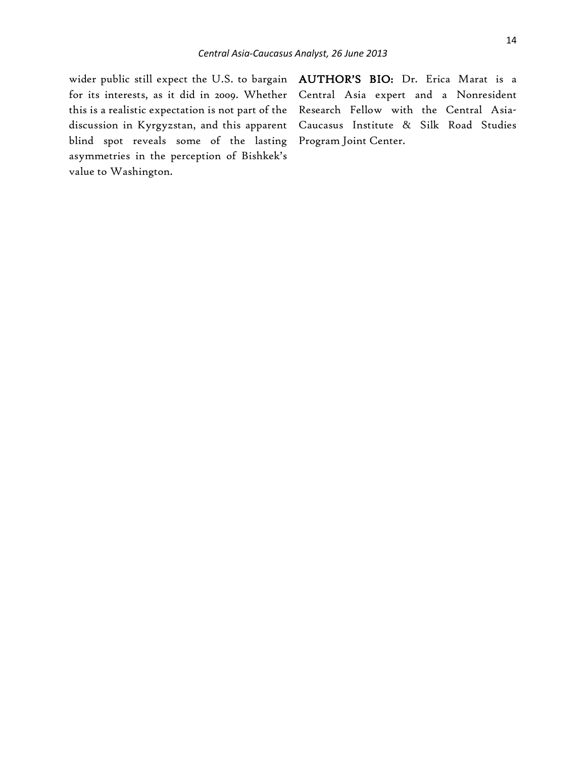wider public still expect the U.S. to bargain for its interests, as it did in 2009. Whether this is a realistic expectation is not part of the discussion in Kyrgyzstan, and this apparent blind spot reveals some of the lasting asymmetries in the perception of Bishkek's value to Washington.

AUTHOR'S BIO: Dr. Erica Marat is a Central Asia expert and a Nonresident Research Fellow with the Central Asia-Caucasus Institute & Silk Road Studies Program Joint Center.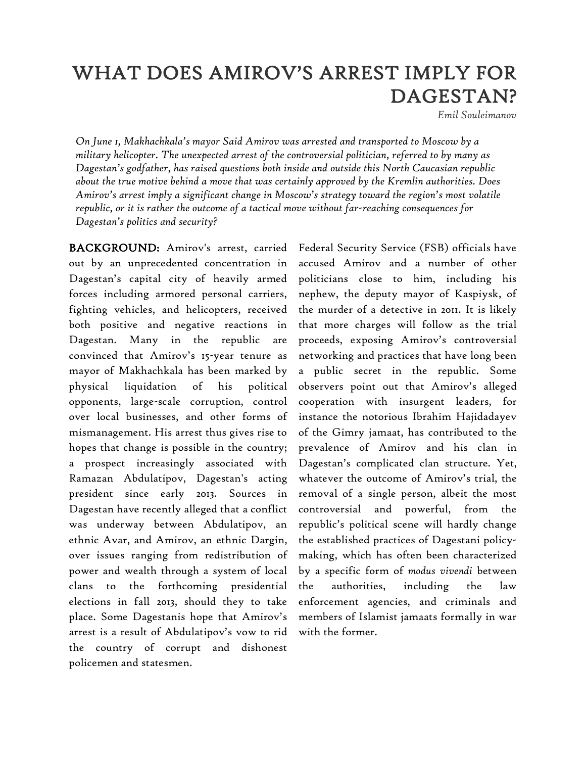## WHAT DOES AMIROV'S ARREST IMPLY FOR DAGESTAN?

*Emil Souleimanov*

*On June 1, Makhachkala's mayor Said Amirov was arrested and transported to Moscow by a military helicopter. The unexpected arrest of the controversial politician, referred to by many as Dagestan's godfather, has raised questions both inside and outside this North Caucasian republic about the true motive behind a move that was certainly approved by the Kremlin authorities. Does Amirov's arrest imply a significant change in Moscow's strategy toward the region's most volatile republic, or it is rather the outcome of a tactical move without far-reaching consequences for Dagestan's politics and security?* 

BACKGROUND: Amirov's arrest, carried out by an unprecedented concentration in Dagestan's capital city of heavily armed forces including armored personal carriers, fighting vehicles, and helicopters, received both positive and negative reactions in Dagestan. Many in the republic are convinced that Amirov's 15-year tenure as mayor of Makhachkala has been marked by physical liquidation of his political opponents, large-scale corruption, control over local businesses, and other forms of mismanagement. His arrest thus gives rise to hopes that change is possible in the country; a prospect increasingly associated with Ramazan Abdulatipov, Dagestan's acting president since early 2013. Sources in Dagestan have recently alleged that a conflict was underway between Abdulatipov, an ethnic Avar, and Amirov, an ethnic Dargin, over issues ranging from redistribution of power and wealth through a system of local clans to the forthcoming presidential elections in fall 2013, should they to take place. Some Dagestanis hope that Amirov's arrest is a result of Abdulatipov's vow to rid the country of corrupt and dishonest policemen and statesmen.

Federal Security Service (FSB) officials have accused Amirov and a number of other politicians close to him, including his nephew, the deputy mayor of Kaspiysk, of the murder of a detective in 2011. It is likely that more charges will follow as the trial proceeds, exposing Amirov's controversial networking and practices that have long been a public secret in the republic. Some observers point out that Amirov's alleged cooperation with insurgent leaders, for instance the notorious Ibrahim Hajidadayev of the Gimry jamaat, has contributed to the prevalence of Amirov and his clan in Dagestan's complicated clan structure. Yet, whatever the outcome of Amirov's trial, the removal of a single person, albeit the most controversial and powerful, from the republic's political scene will hardly change the established practices of Dagestani policymaking, which has often been characterized by a specific form of *modus vivendi* between the authorities, including the law enforcement agencies, and criminals and members of Islamist jamaats formally in war with the former.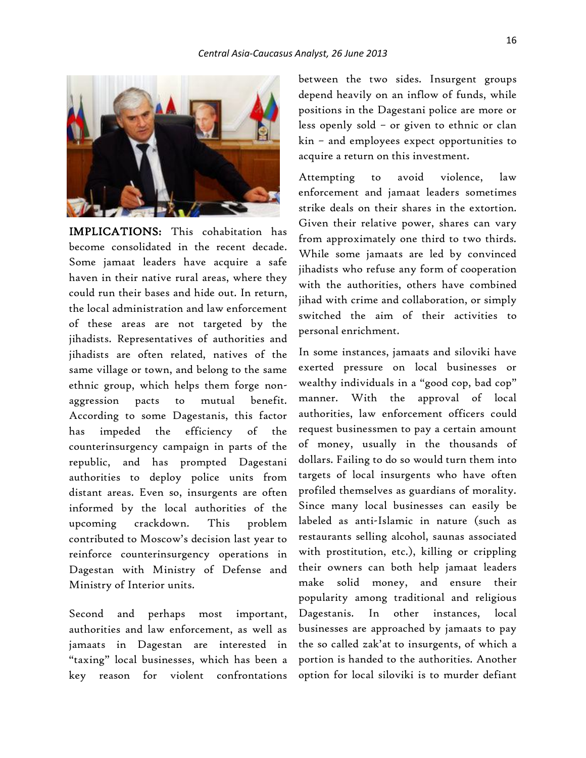

IMPLICATIONS: This cohabitation has become consolidated in the recent decade. Some jamaat leaders have acquire a safe haven in their native rural areas, where they could run their bases and hide out. In return, the local administration and law enforcement of these areas are not targeted by the jihadists. Representatives of authorities and jihadists are often related, natives of the same village or town, and belong to the same ethnic group, which helps them forge nonaggression pacts to mutual benefit. According to some Dagestanis, this factor has impeded the efficiency of the counterinsurgency campaign in parts of the republic, and has prompted Dagestani authorities to deploy police units from distant areas. Even so, insurgents are often informed by the local authorities of the upcoming crackdown. This problem contributed to Moscow's decision last year to reinforce counterinsurgency operations in Dagestan with Ministry of Defense and Ministry of Interior units.

Second and perhaps most important, authorities and law enforcement, as well as jamaats in Dagestan are interested in "taxing" local businesses, which has been a key reason for violent confrontations

between the two sides. Insurgent groups depend heavily on an inflow of funds, while positions in the Dagestani police are more or less openly sold – or given to ethnic or clan kin – and employees expect opportunities to acquire a return on this investment.

Attempting to avoid violence, law enforcement and jamaat leaders sometimes strike deals on their shares in the extortion. Given their relative power, shares can vary from approximately one third to two thirds. While some jamaats are led by convinced jihadists who refuse any form of cooperation with the authorities, others have combined jihad with crime and collaboration, or simply switched the aim of their activities to personal enrichment.

In some instances, jamaats and siloviki have exerted pressure on local businesses or wealthy individuals in a "good cop, bad cop" manner. With the approval of local authorities, law enforcement officers could request businessmen to pay a certain amount of money, usually in the thousands of dollars. Failing to do so would turn them into targets of local insurgents who have often profiled themselves as guardians of morality. Since many local businesses can easily be labeled as anti-Islamic in nature (such as restaurants selling alcohol, saunas associated with prostitution, etc.), killing or crippling their owners can both help jamaat leaders make solid money, and ensure their popularity among traditional and religious Dagestanis. In other instances, local businesses are approached by jamaats to pay the so called zak'at to insurgents, of which a portion is handed to the authorities. Another option for local siloviki is to murder defiant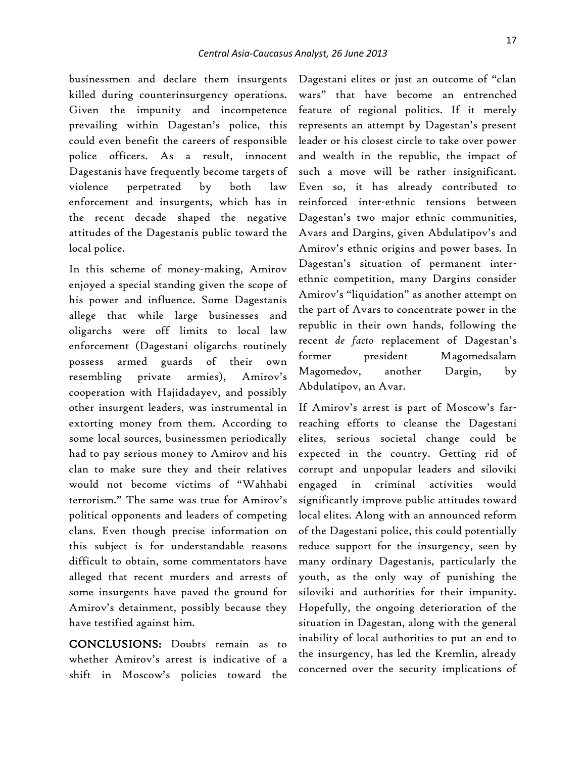businessmen and declare them insurgents killed during counterinsurgency operations. Given the impunity and incompetence prevailing within Dagestan's police, this could even benefit the careers of responsible police officers. As a result, innocent Dagestanis have frequently become targets of violence perpetrated by both law enforcement and insurgents, which has in the recent decade shaped the negative attitudes of the Dagestanis public toward the local police.

In this scheme of money-making, Amirov enjoyed a special standing given the scope of his power and influence. Some Dagestanis allege that while large businesses and oligarchs were off limits to local law enforcement (Dagestani oligarchs routinely possess armed guards of their own resembling private armies), Amirov's cooperation with Hajidadayev, and possibly other insurgent leaders, was instrumental in extorting money from them. According to some local sources, businessmen periodically had to pay serious money to Amirov and his clan to make sure they and their relatives would not become victims of "Wahhabi terrorism." The same was true for Amirov's political opponents and leaders of competing clans. Even though precise information on this subject is for understandable reasons difficult to obtain, some commentators have alleged that recent murders and arrests of some insurgents have paved the ground for Amirov's detainment, possibly because they have testified against him.

CONCLUSIONS: Doubts remain as to whether Amirov's arrest is indicative of a shift in Moscow's policies toward the Dagestani elites or just an outcome of "clan wars" that have become an entrenched feature of regional politics. If it merely represents an attempt by Dagestan's present leader or his closest circle to take over power and wealth in the republic, the impact of such a move will be rather insignificant. Even so, it has already contributed to reinforced inter-ethnic tensions between Dagestan's two major ethnic communities, Avars and Dargins, given Abdulatipov's and Amirov's ethnic origins and power bases. In Dagestan's situation of permanent interethnic competition, many Dargins consider Amirov's "liquidation" as another attempt on the part of Avars to concentrate power in the republic in their own hands, following the recent *de facto* replacement of Dagestan's former president Magomedsalam Magomedov, another Dargin, by Abdulatipov, an Avar.

If Amirov's arrest is part of Moscow's farreaching efforts to cleanse the Dagestani elites, serious societal change could be expected in the country. Getting rid of corrupt and unpopular leaders and siloviki engaged in criminal activities would significantly improve public attitudes toward local elites. Along with an announced reform of the Dagestani police, this could potentially reduce support for the insurgency, seen by many ordinary Dagestanis, particularly the youth, as the only way of punishing the siloviki and authorities for their impunity. Hopefully, the ongoing deterioration of the situation in Dagestan, along with the general inability of local authorities to put an end to the insurgency, has led the Kremlin, already concerned over the security implications of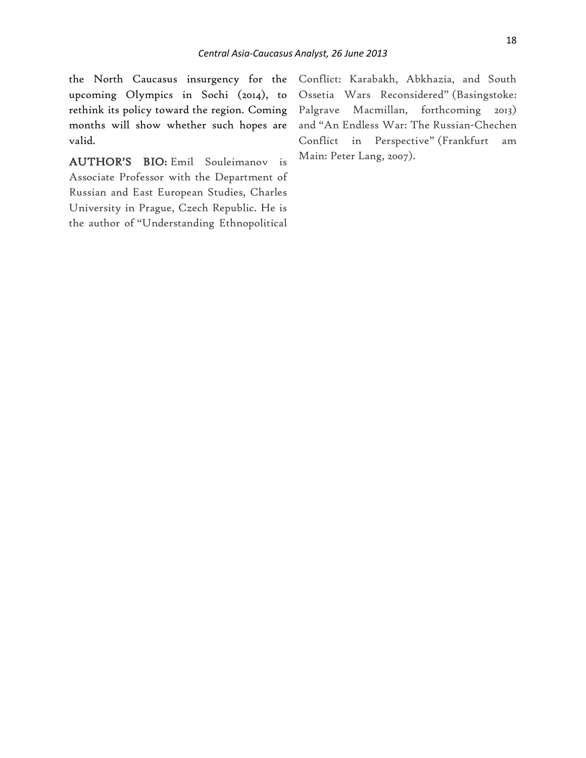the North Caucasus insurgency for the upcoming Olympics in Sochi (2014), to rethink its policy toward the region. Coming months will show whether such hopes are valid.

AUTHOR'S BIO: Emil Souleimanov is Associate Professor with the Department of Russian and East European Studies, Charles University in Prague, Czech Republic. He is the author of "Understanding Ethnopolitical

Conflict: Karabakh, Abkhazia, and South Ossetia Wars Reconsidered" (Basingstoke: Palgrave Macmillan, forthcoming 2013) and "An Endless War: The Russian-Chechen Conflict in Perspective" (Frankfurt am Main: Peter Lang, 2007).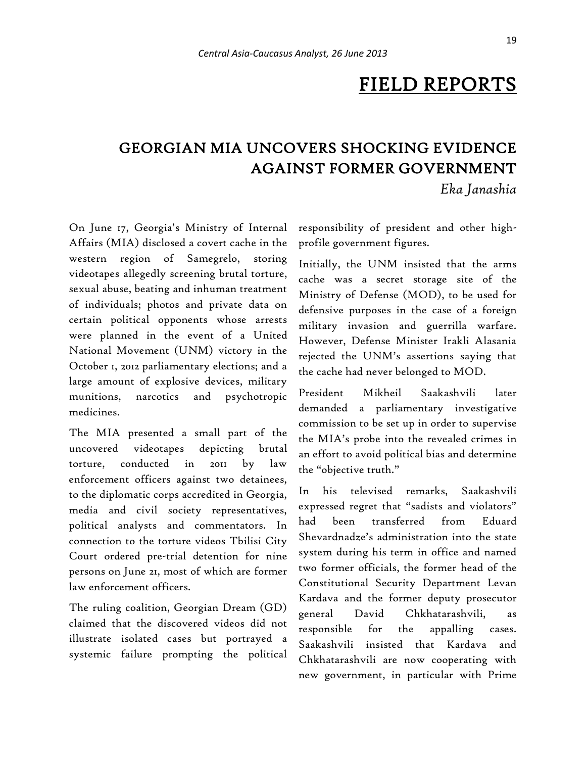### FIELD REPORTS

## GEORGIAN MIA UNCOVERS SHOCKING EVIDENCE AGAINST FORMER GOVERNMENT

*Eka Janashia*

On June 17, Georgia's Ministry of Internal Affairs (MIA) disclosed a covert cache in the western region of Samegrelo, storing videotapes allegedly screening brutal torture, sexual abuse, beating and inhuman treatment of individuals; photos and private data on certain political opponents whose arrests were planned in the event of a United National Movement (UNM) victory in the October 1, 2012 parliamentary elections; and a large amount of explosive devices, military munitions, narcotics and psychotropic medicines.

The MIA presented a small part of the uncovered videotapes depicting brutal torture, conducted in 2011 by law enforcement officers against two detainees, to the diplomatic corps accredited in Georgia, media and civil society representatives, political analysts and commentators. In connection to the torture videos Tbilisi City Court ordered pre-trial detention for nine persons on June 21, most of which are former law enforcement officers.

The ruling coalition, Georgian Dream (GD) claimed that the discovered videos did not illustrate isolated cases but portrayed a systemic failure prompting the political

responsibility of president and other highprofile government figures.

Initially, the UNM insisted that the arms cache was a secret storage site of the Ministry of Defense (MOD), to be used for defensive purposes in the case of a foreign military invasion and guerrilla warfare. However, Defense Minister Irakli Alasania rejected the UNM's assertions saying that the cache had never belonged to MOD.

President Mikheil Saakashvili later demanded a parliamentary investigative commission to be set up in order to supervise the MIA's probe into the revealed crimes in an effort to avoid political bias and determine the "objective truth."

In his televised remarks, Saakashvili expressed regret that "sadists and violators" had been transferred from Eduard Shevardnadze's administration into the state system during his term in office and named two former officials, the former head of the Constitutional Security Department Levan Kardava and the former deputy prosecutor general David Chkhatarashvili, as responsible for the appalling cases. Saakashvili insisted that Kardava and Chkhatarashvili are now cooperating with new government, in particular with Prime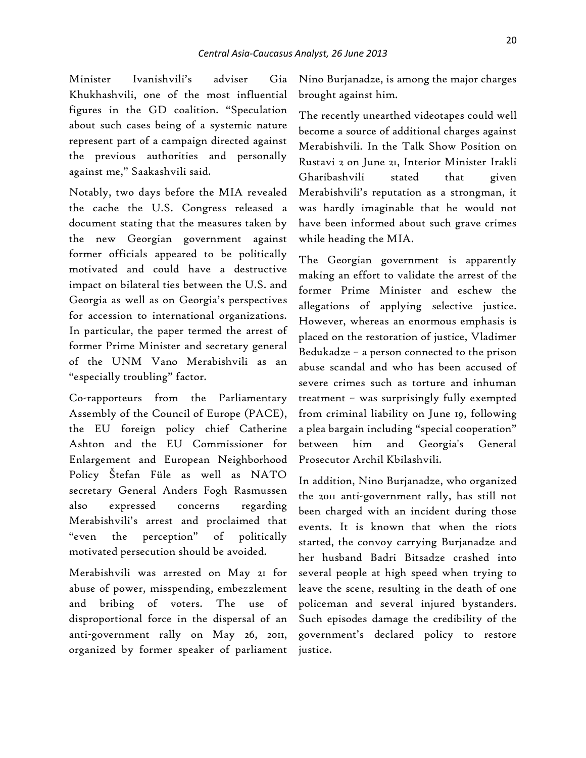Minister Ivanishvili's adviser Gia Khukhashvili, one of the most influential figures in the GD coalition. "Speculation about such cases being of a systemic nature represent part of a campaign directed against the previous authorities and personally against me," Saakashvili said.

Notably, two days before the MIA revealed the cache the U.S. Congress released a document stating that the measures taken by the new Georgian government against former officials appeared to be politically motivated and could have a destructive impact on bilateral ties between the U.S. and Georgia as well as on Georgia's perspectives for accession to international organizations. In particular, the paper termed the arrest of former Prime Minister and secretary general of the UNM Vano Merabishvili as an "especially troubling" factor.

Co-rapporteurs from the Parliamentary Assembly of the Council of Europe (PACE), the EU foreign policy chief Catherine Ashton and the EU Commissioner for Enlargement and European Neighborhood Policy Štefan Füle as well as NATO secretary General Anders Fogh Rasmussen also expressed concerns regarding Merabishvili's arrest and proclaimed that "even the perception" of politically motivated persecution should be avoided.

Merabishvili was arrested on May 21 for abuse of power, misspending, embezzlement and bribing of voters. The use of disproportional force in the dispersal of an anti-government rally on May 26, 2011, organized by former speaker of parliament Nino Burjanadze, is among the major charges brought against him.

The recently unearthed videotapes could well become a source of additional charges against Merabishvili. In the Talk Show Position on Rustavi 2 on June 21, Interior Minister Irakli Gharibashvili stated that given Merabishvili's reputation as a strongman, it was hardly imaginable that he would not have been informed about such grave crimes while heading the MIA.

The Georgian government is apparently making an effort to validate the arrest of the former Prime Minister and eschew the allegations of applying selective justice. However, whereas an enormous emphasis is placed on the restoration of justice, Vladimer Bedukadze – a person connected to the prison abuse scandal and who has been accused of severe crimes such as torture and inhuman treatment – was surprisingly fully exempted from criminal liability on June 19, following a plea bargain including "special cooperation" between him and Georgia's General Prosecutor Archil Kbilashvili.

In addition, Nino Burjanadze, who organized the 2011 anti-government rally, has still not been charged with an incident during those events. It is known that when the riots started, the convoy carrying Burjanadze and her husband Badri Bitsadze crashed into several people at high speed when trying to leave the scene, resulting in the death of one policeman and several injured bystanders. Such episodes damage the credibility of the government's declared policy to restore justice.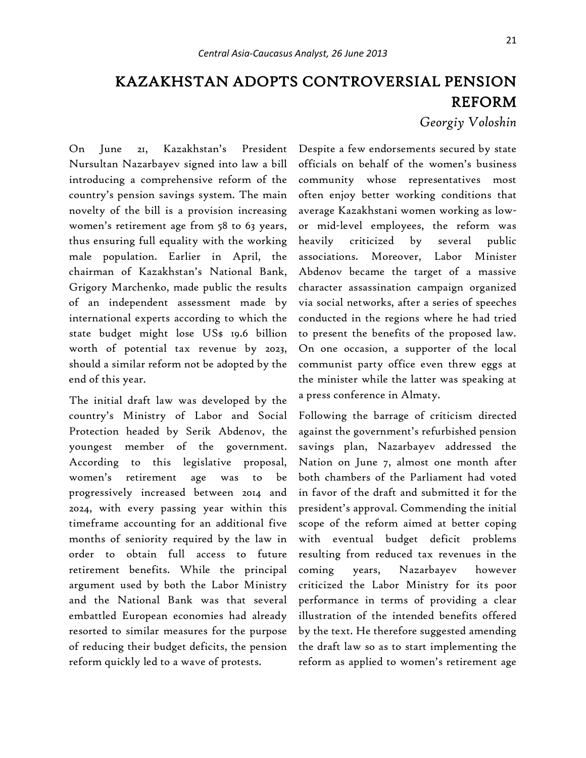#### KAZAKHSTAN ADOPTS CONTROVERSIAL PENSION REFORM

*Georgiy Voloshin*

On June 21, Kazakhstan's President Nursultan Nazarbayev signed into law a bill introducing a comprehensive reform of the country's pension savings system. The main novelty of the bill is a provision increasing women's retirement age from 58 to 63 years, thus ensuring full equality with the working male population. Earlier in April, the chairman of Kazakhstan's National Bank, Grigory Marchenko, made public the results of an independent assessment made by international experts according to which the state budget might lose US\$ 19.6 billion worth of potential tax revenue by 2023, should a similar reform not be adopted by the end of this year.

The initial draft law was developed by the country's Ministry of Labor and Social Protection headed by Serik Abdenov, the youngest member of the government. According to this legislative proposal, women's retirement age was to be progressively increased between 2014 and 2024, with every passing year within this timeframe accounting for an additional five months of seniority required by the law in order to obtain full access to future retirement benefits. While the principal argument used by both the Labor Ministry and the National Bank was that several embattled European economies had already resorted to similar measures for the purpose of reducing their budget deficits, the pension reform quickly led to a wave of protests.

Despite a few endorsements secured by state officials on behalf of the women's business community whose representatives most often enjoy better working conditions that average Kazakhstani women working as lowor mid-level employees, the reform was heavily criticized by several public associations. Moreover, Labor Minister Abdenov became the target of a massive character assassination campaign organized via social networks, after a series of speeches conducted in the regions where he had tried to present the benefits of the proposed law. On one occasion, a supporter of the local communist party office even threw eggs at the minister while the latter was speaking at a press conference in Almaty.

Following the barrage of criticism directed against the government's refurbished pension savings plan, Nazarbayev addressed the Nation on June 7, almost one month after both chambers of the Parliament had voted in favor of the draft and submitted it for the president's approval. Commending the initial scope of the reform aimed at better coping with eventual budget deficit problems resulting from reduced tax revenues in the coming years, Nazarbayev however criticized the Labor Ministry for its poor performance in terms of providing a clear illustration of the intended benefits offered by the text. He therefore suggested amending the draft law so as to start implementing the reform as applied to women's retirement age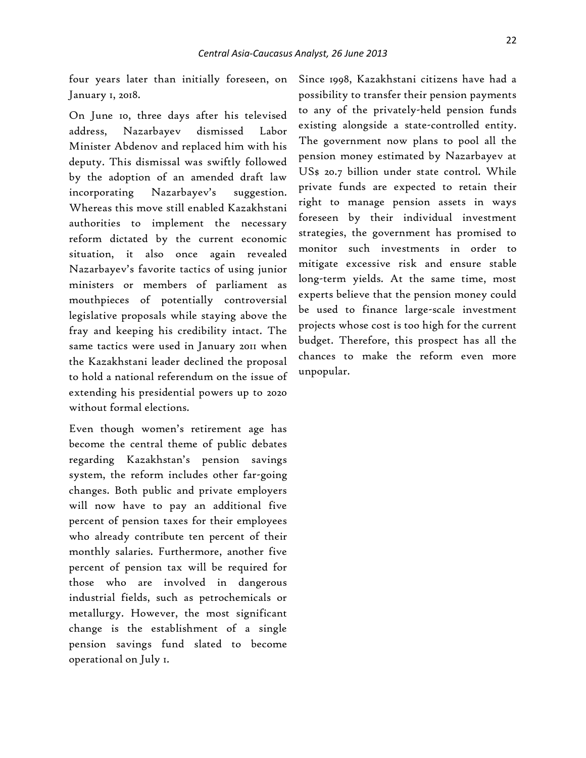four years later than initially foreseen, on January I, 2018.

On June 10, three days after his televised address, Nazarbayev dismissed Labor Minister Abdenov and replaced him with his deputy. This dismissal was swiftly followed by the adoption of an amended draft law incorporating Nazarbayev's suggestion. Whereas this move still enabled Kazakhstani authorities to implement the necessary reform dictated by the current economic situation, it also once again revealed Nazarbayev's favorite tactics of using junior ministers or members of parliament as mouthpieces of potentially controversial legislative proposals while staying above the fray and keeping his credibility intact. The same tactics were used in January 2011 when the Kazakhstani leader declined the proposal to hold a national referendum on the issue of extending his presidential powers up to 2020 without formal elections.

Even though women's retirement age has become the central theme of public debates regarding Kazakhstan's pension savings system, the reform includes other far-going changes. Both public and private employers will now have to pay an additional five percent of pension taxes for their employees who already contribute ten percent of their monthly salaries. Furthermore, another five percent of pension tax will be required for those who are involved in dangerous industrial fields, such as petrochemicals or metallurgy. However, the most significant change is the establishment of a single pension savings fund slated to become operational on July 1.

Since 1998, Kazakhstani citizens have had a possibility to transfer their pension payments to any of the privately-held pension funds existing alongside a state-controlled entity. The government now plans to pool all the pension money estimated by Nazarbayev at US\$ 20.7 billion under state control. While private funds are expected to retain their right to manage pension assets in ways foreseen by their individual investment strategies, the government has promised to monitor such investments in order to mitigate excessive risk and ensure stable long-term yields. At the same time, most experts believe that the pension money could be used to finance large-scale investment projects whose cost is too high for the current budget. Therefore, this prospect has all the chances to make the reform even more unpopular.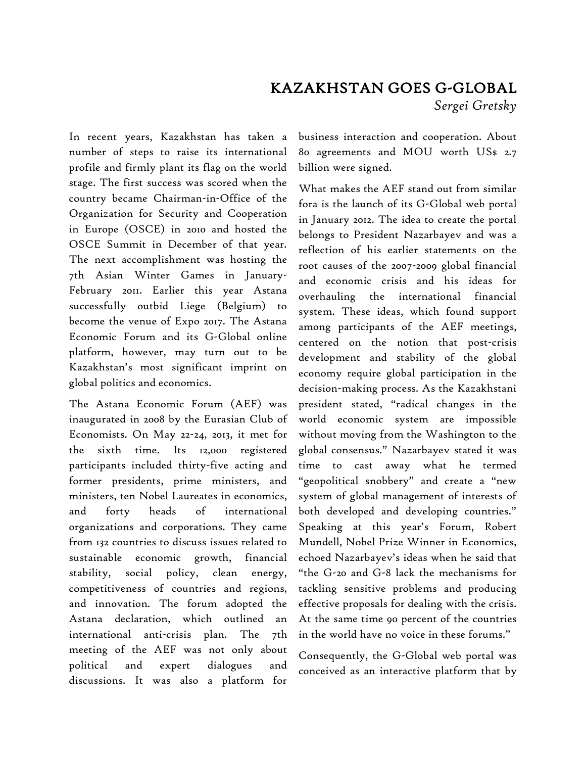#### KAZAKHSTAN GOES G-GLOBAL *Sergei Gretsky*

In recent years, Kazakhstan has taken a number of steps to raise its international profile and firmly plant its flag on the world stage. The first success was scored when the country became Chairman-in-Office of the Organization for Security and Cooperation in Europe (OSCE) in 2010 and hosted the OSCE Summit in December of that year. The next accomplishment was hosting the 7th Asian Winter Games in January-February 2011. Earlier this year Astana successfully outbid Liege (Belgium) to become the venue of Expo 2017. The Astana Economic Forum and its G-Global online platform, however, may turn out to be Kazakhstan's most significant imprint on global politics and economics.

The Astana Economic Forum (AEF) was inaugurated in 2008 by the Eurasian Club of Economists. On May 22-24, 2013, it met for the sixth time. Its 12,000 registered participants included thirty-five acting and former presidents, prime ministers, and ministers, ten Nobel Laureates in economics, and forty heads of international organizations and corporations. They came from 132 countries to discuss issues related to sustainable economic growth, financial stability, social policy, clean energy, competitiveness of countries and regions, and innovation. The forum adopted the Astana declaration, which outlined an international anti-crisis plan. The 7th meeting of the AEF was not only about political and expert dialogues and discussions. It was also a platform for

business interaction and cooperation. About 80 agreements and MOU worth US\$ 2.7 billion were signed.

What makes the AEF stand out from similar fora is the launch of its G-Global web portal in January 2012. The idea to create the portal belongs to President Nazarbayev and was a reflection of his earlier statements on the root causes of the 2007-2009 global financial and economic crisis and his ideas for overhauling the international financial system. These ideas, which found support among participants of the AEF meetings, centered on the notion that post-crisis development and stability of the global economy require global participation in the decision-making process. As the Kazakhstani president stated, "radical changes in the world economic system are impossible without moving from the Washington to the global consensus." Nazarbayev stated it was time to cast away what he termed "geopolitical snobbery" and create a "new system of global management of interests of both developed and developing countries." Speaking at this year's Forum, Robert Mundell, Nobel Prize Winner in Economics, echoed Nazarbayev's ideas when he said that "the G-20 and G-8 lack the mechanisms for tackling sensitive problems and producing effective proposals for dealing with the crisis. At the same time 90 percent of the countries in the world have no voice in these forums."

Consequently, the G-Global web portal was conceived as an interactive platform that by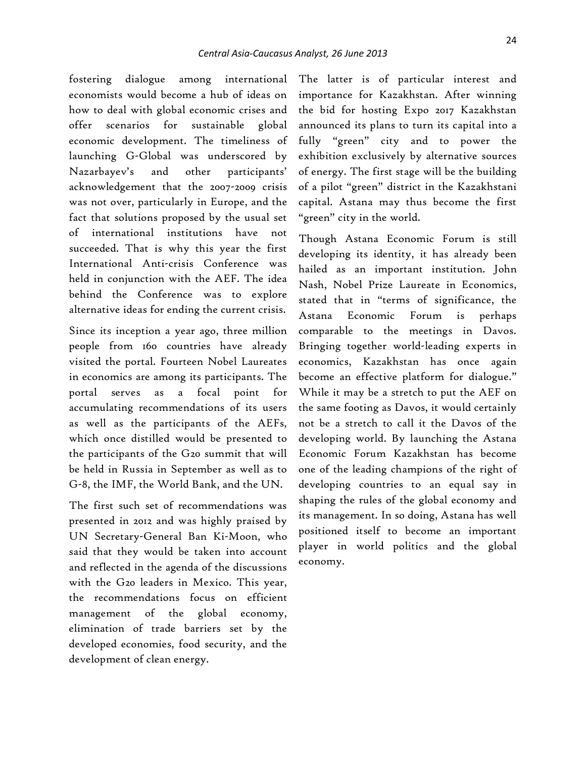fostering dialogue among international economists would become a hub of ideas on how to deal with global economic crises and offer scenarios for sustainable global economic development. The timeliness of launching G-Global was underscored by Nazarbayev's and other participants' acknowledgement that the 2007-2009 crisis was not over, particularly in Europe, and the fact that solutions proposed by the usual set of international institutions have not succeeded. That is why this year the first International Anti-crisis Conference was held in conjunction with the AEF. The idea behind the Conference was to explore alternative ideas for ending the current crisis.

Since its inception a year ago, three million people from 160 countries have already visited the portal. Fourteen Nobel Laureates in economics are among its participants. The portal serves as a focal point for accumulating recommendations of its users as well as the participants of the AEFs, which once distilled would be presented to the participants of the G20 summit that will be held in Russia in September as well as to G-8, the IMF, the World Bank, and the UN.

The first such set of recommendations was presented in 2012 and was highly praised by UN Secretary-General Ban Ki-Moon, who said that they would be taken into account and reflected in the agenda of the discussions with the G20 leaders in Mexico. This year, the recommendations focus on efficient management of the global economy, elimination of trade barriers set by the developed economies, food security, and the development of clean energy.

The latter is of particular interest and importance for Kazakhstan. After winning the bid for hosting Expo 2017 Kazakhstan announced its plans to turn its capital into a fully "green" city and to power the exhibition exclusively by alternative sources of energy. The first stage will be the building of a pilot "green" district in the Kazakhstani capital. Astana may thus become the first "green" city in the world.

Though Astana Economic Forum is still developing its identity, it has already been hailed as an important institution. John Nash, Nobel Prize Laureate in Economics, stated that in "terms of significance, the Astana Economic Forum is perhaps comparable to the meetings in Davos. Bringing together world-leading experts in economics, Kazakhstan has once again become an effective platform for dialogue." While it may be a stretch to put the AEF on the same footing as Davos, it would certainly not be a stretch to call it the Davos of the developing world. By launching the Astana Economic Forum Kazakhstan has become one of the leading champions of the right of developing countries to an equal say in shaping the rules of the global economy and its management. In so doing, Astana has well positioned itself to become an important player in world politics and the global economy.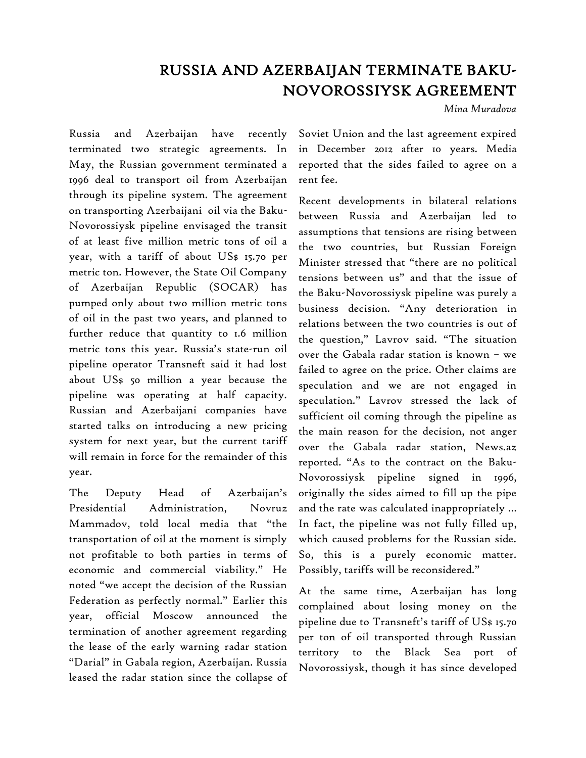#### RUSSIA AND AZERBAIJAN TERMINATE BAKU-NOVOROSSIYSK AGREEMENT

*Mina Muradova*

Russia and Azerbaijan have recently terminated two strategic agreements. In May, the Russian government terminated a 1996 deal to transport oil from Azerbaijan through its pipeline system. The agreement on transporting Azerbaijani oil via the Baku-Novorossiysk pipeline envisaged the transit of at least five million metric tons of oil a year, with a tariff of about US\$ 15.70 per metric ton. However, the State Oil Company of Azerbaijan Republic (SOCAR) has pumped only about two million metric tons of oil in the past two years, and planned to further reduce that quantity to 1.6 million metric tons this year. Russia's state-run oil pipeline operator Transneft said it had lost about US\$ 50 million a year because the pipeline was operating at half capacity. Russian and Azerbaijani companies have started talks on introducing a new pricing system for next year, but the current tariff will remain in force for the remainder of this year.

The Deputy Head of Azerbaijan's Presidential Administration, Novruz Mammadov, told local media that "the transportation of oil at the moment is simply not profitable to both parties in terms of economic and commercial viability." He noted "we accept the decision of the Russian Federation as perfectly normal." Earlier this year, official Moscow announced the termination of another agreement regarding the lease of the early warning radar station "Darial" in Gabala region, Azerbaijan. Russia leased the radar station since the collapse of Soviet Union and the last agreement expired in December 2012 after 10 years. Media reported that the sides failed to agree on a rent fee.

Recent developments in bilateral relations between Russia and Azerbaijan led to assumptions that tensions are rising between the two countries, but Russian Foreign Minister stressed that "there are no political tensions between us" and that the issue of the Baku-Novorossiysk pipeline was purely a business decision. "Any deterioration in relations between the two countries is out of the question," Lavrov said. "The situation over the Gabala radar station is known – we failed to agree on the price. Other claims are speculation and we are not engaged in speculation." Lavrov stressed the lack of sufficient oil coming through the pipeline as the main reason for the decision, not anger over the Gabala radar station, News.az reported. "As to the contract on the Baku-Novorossiysk pipeline signed in 1996, originally the sides aimed to fill up the pipe and the rate was calculated inappropriately … In fact, the pipeline was not fully filled up, which caused problems for the Russian side. So, this is a purely economic matter. Possibly, tariffs will be reconsidered."

At the same time, Azerbaijan has long complained about losing money on the pipeline due to Transneft's tariff of US\$ 15.70 per ton of oil transported through Russian territory to the Black Sea port of Novorossiysk, though it has since developed